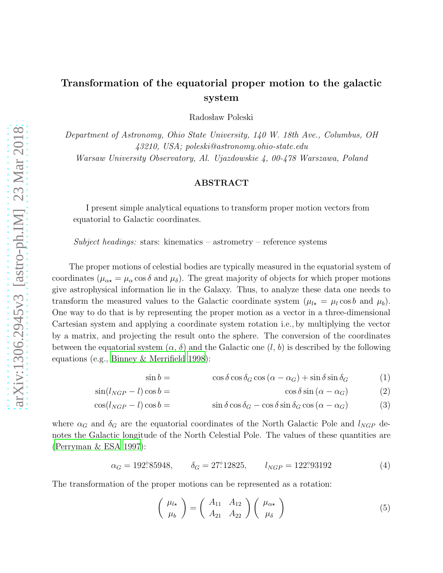## Transformation of the equatorial proper motion to the galactic system

Radosław Poleski

*Department of Astronomy, Ohio State University, 140 W. 18th Ave., Columbus, OH 43210, USA; poleski@astronomy.ohio-state.edu Warsaw University Observatory, Al. Ujazdowskie 4, 00-478 Warszawa, Poland*

## ABSTRACT

I present simple analytical equations to transform proper motion vectors from equatorial to Galactic coordinates.

*Subject headings:* stars: kinematics – astrometry – reference systems

The proper motions of celestial bodies are typically measured in the equatorial system of coordinates ( $\mu_{\alpha\star} = \mu_{\alpha} \cos \delta$  and  $\mu_{\delta}$ ). The great majority of objects for which proper motions give astrophysical information lie in the Galaxy. Thus, to analyze these data one needs to transform the measured values to the Galactic coordinate system  $(\mu_{l\star} = \mu_l \cos b$  and  $\mu_b)$ . One way to do that is by representing the proper motion as a vector in a three-dimensional Cartesian system and applying a coordinate system rotation i.e., by multiplying the vector by a matrix, and projecting the result onto the sphere. The conversion of the coordinates between the equatorial system  $(\alpha, \delta)$  and the Galactic one  $(l, b)$  is described by the following equations (e.g., [Binney & Merrifield 1998\)](#page-1-0):

$$
\sin b = \cos \delta \cos \delta_G \cos (\alpha - \alpha_G) + \sin \delta \sin \delta_G \tag{1}
$$

<span id="page-0-0"></span>
$$
\cos \delta \sin (\alpha - \alpha_G) \tag{2}
$$

$$
\cos(l_{NGP} - l)\cos b = \sin\delta\cos\delta_G - \cos\delta\sin\delta_G\cos(\alpha - \alpha_G) \tag{3}
$$

where  $\alpha_G$  and  $\delta_G$  are the equatorial coordinates of the North Galactic Pole and  $l_{NGP}$  denotes the Galactic longitude of the North Celestial Pole. The values of these quantities are [\(Perryman & ESA 1997](#page-1-1)):

$$
\alpha_G = 192^{\circ}85948, \qquad \delta_G = 27^{\circ}12825, \qquad l_{NGP} = 122^{\circ}93192 \tag{4}
$$

The transformation of the proper motions can be represented as a rotation:

 $\sin(l_{NGP} - l) \cos b =$ 

$$
\begin{pmatrix} \mu_{l\star} \\ \mu_b \end{pmatrix} = \begin{pmatrix} A_{11} & A_{12} \\ A_{21} & A_{22} \end{pmatrix} \begin{pmatrix} \mu_{\alpha\star} \\ \mu_{\delta} \end{pmatrix}
$$
 (5)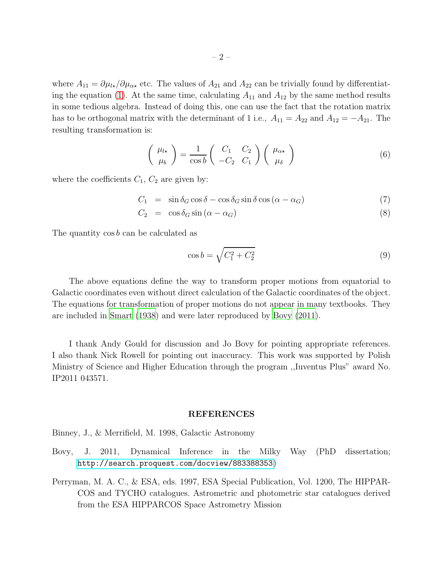where  $A_{11} = \partial \mu_{k}/\partial \mu_{\alpha \star}$  etc. The values of  $A_{21}$  and  $A_{22}$  can be trivially found by differentiat-ing the equation [\(1\)](#page-0-0). At the same time, calculating  $A_{11}$  and  $A_{12}$  by the same method results in some tedious algebra. Instead of doing this, one can use the fact that the rotation matrix has to be orthogonal matrix with the determinant of 1 i.e.,  $A_{11} = A_{22}$  and  $A_{12} = -A_{21}$ . The resulting transformation is:

$$
\begin{pmatrix} \mu_{l\star} \\ \mu_b \end{pmatrix} = \frac{1}{\cos b} \begin{pmatrix} C_1 & C_2 \\ -C_2 & C_1 \end{pmatrix} \begin{pmatrix} \mu_{\alpha\star} \\ \mu_{\delta} \end{pmatrix}
$$
 (6)

where the coefficients  $C_1$ ,  $C_2$  are given by:

$$
C_1 = \sin \delta_G \cos \delta - \cos \delta_G \sin \delta \cos (\alpha - \alpha_G) \tag{7}
$$

$$
C_2 = \cos \delta_G \sin (\alpha - \alpha_G) \tag{8}
$$

The quantity cos b can be calculated as

$$
\cos b = \sqrt{C_1^2 + C_2^2} \tag{9}
$$

The above equations define the way to transform proper motions from equatorial to Galactic coordinates even without direct calculation of the Galactic coordinates of the object. The equations for transformation of proper motions do not appear in many textbooks. They are included in [Smart \(1938](#page-2-0)) and were later reproduced by [Bovy \(2011\)](#page-1-2).

I thank Andy Gould for discussion and Jo Bovy for pointing appropriate references. I also thank Nick Rowell for pointing out inaccuracy. This work was supported by Polish Ministry of Science and Higher Education through the program ,,Iuventus Plus" award No. IP2011 043571.

## REFERENCES

<span id="page-1-0"></span>Binney, J., & Merrifield, M. 1998, Galactic Astronomy

- <span id="page-1-2"></span>Bovy, J. 2011, Dynamical Inference in the Milky Way (PhD dissertation; <http://search.proquest.com/docview/883388353>)
- <span id="page-1-1"></span>Perryman, M. A. C., & ESA, eds. 1997, ESA Special Publication, Vol. 1200, The HIPPAR-COS and TYCHO catalogues. Astrometric and photometric star catalogues derived from the ESA HIPPARCOS Space Astrometry Mission